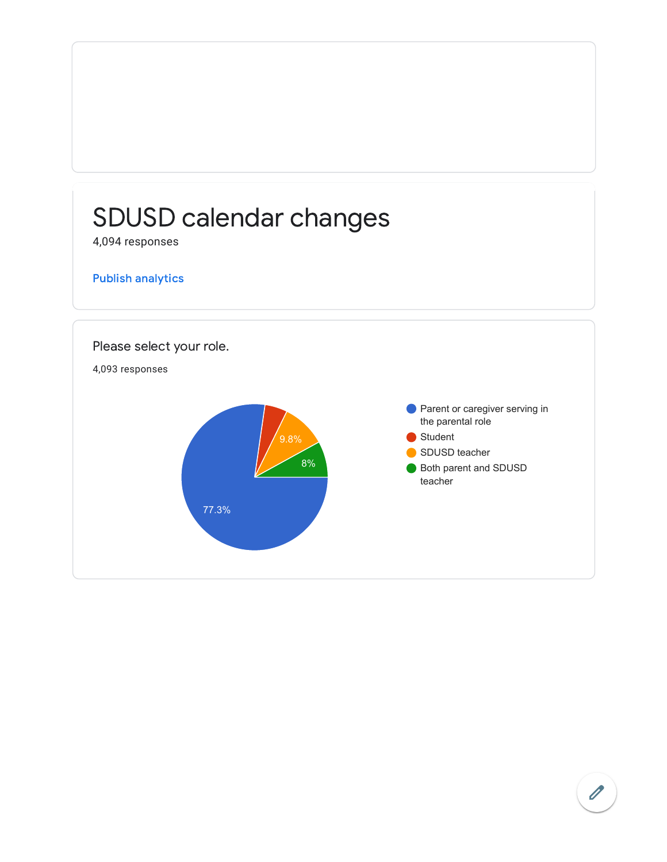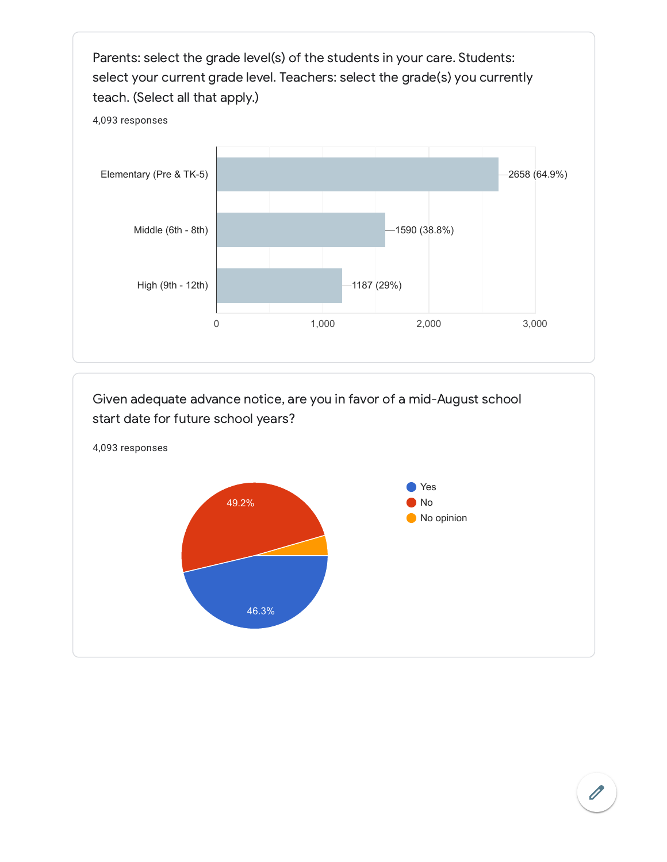

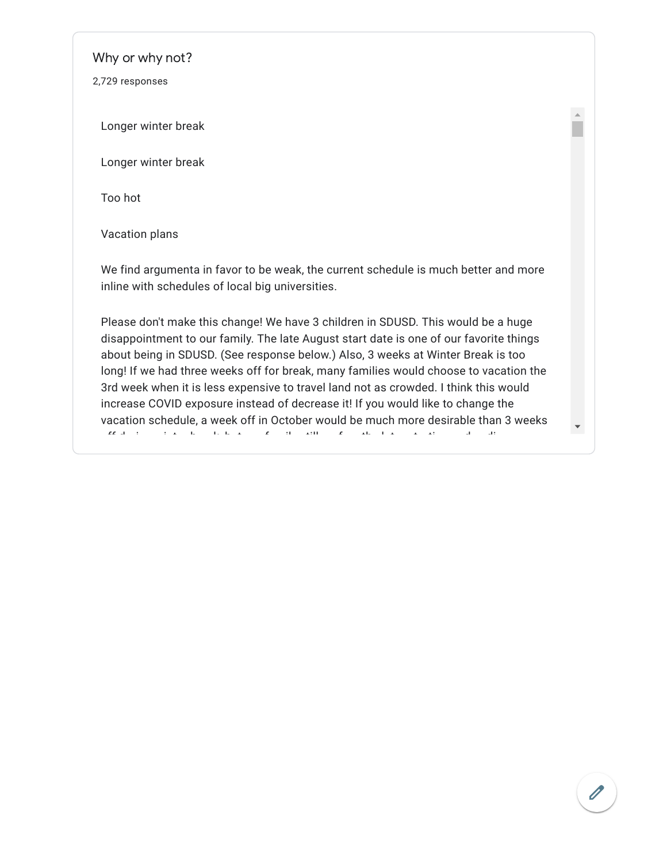Why or why not?

2,729 responses

Longer winter break

Longer winter break

Too hot

Vacation plans

We find argumenta in favor to be weak, the current schedule is much better and more inline with schedules of local big universities.

Please don't make this change! We have 3 children in SDUSD. This would be a huge disappointment to our family. The late August start date is one of our favorite things about being in SDUSD. (See response below.) Also, 3 weeks at Winter Break is too long! If we had three weeks off for break, many families would choose to vacation the 3rd week when it is less expensive to travel land not as crowded. I think this would increase COVID exposure instead of decrease it! If you would like to change the vacation schedule, a week off in October would be much more desirable than 3 weeks ff d i t i i t b k b b t till f till f till f till f till f till f till f till f till f till f till f till f t<br>T

 $\bar{A}$